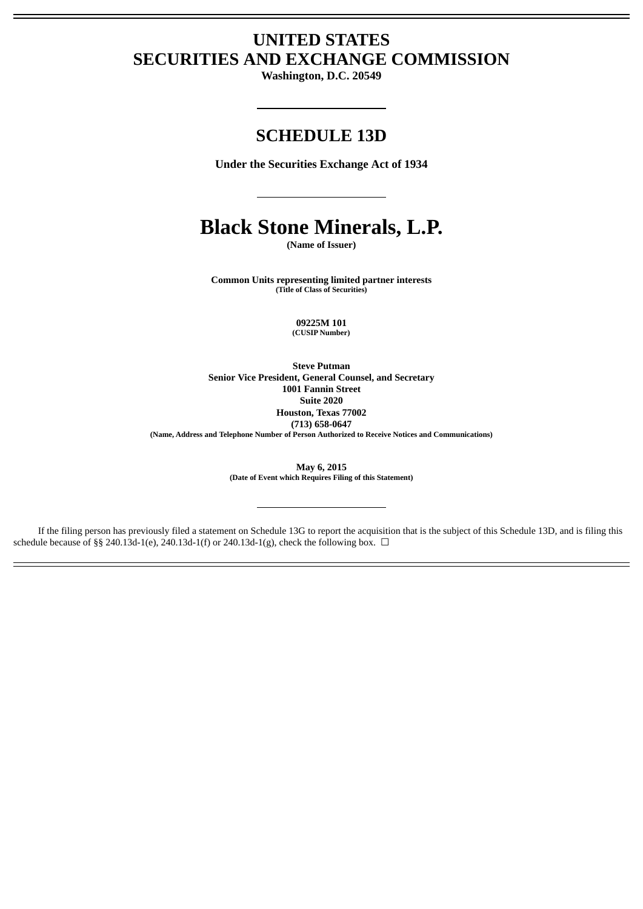# **UNITED STATES SECURITIES AND EXCHANGE COMMISSION**

**Washington, D.C. 20549**

## **SCHEDULE 13D**

**Under the Securities Exchange Act of 1934**

# **Black Stone Minerals, L.P.**

**(Name of Issuer)**

**Common Units representing limited partner interests (Title of Class of Securities)**

> **09225M 101 (CUSIP Number)**

**Steve Putman Senior Vice President, General Counsel, and Secretary 1001 Fannin Street Suite 2020 Houston, Texas 77002 (713) 658-0647 (Name, Address and Telephone Number of Person Authorized to Receive Notices and Communications)**

> **May 6, 2015 (Date of Event which Requires Filing of this Statement)**

If the filing person has previously filed a statement on Schedule 13G to report the acquisition that is the subject of this Schedule 13D, and is filing this schedule because of §§ 240.13d-1(e), 240.13d-1(f) or 240.13d-1(g), check the following box.  $\Box$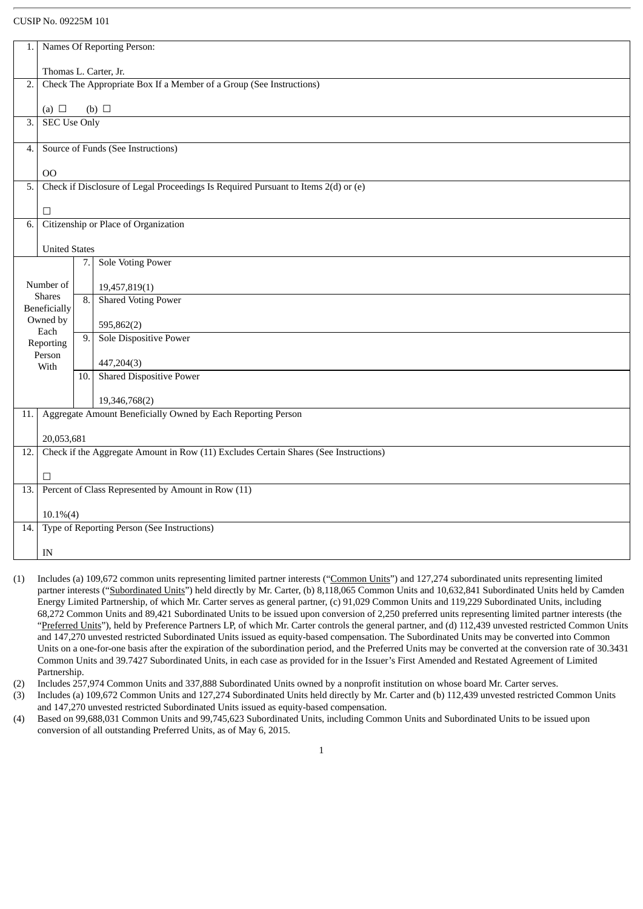## CUSIP No. 09225M 101

| 1.                     |                                                                                      |     | Names Of Reporting Person:                                                         |  |  |  |  |
|------------------------|--------------------------------------------------------------------------------------|-----|------------------------------------------------------------------------------------|--|--|--|--|
|                        |                                                                                      |     |                                                                                    |  |  |  |  |
|                        | Thomas L. Carter, Jr.                                                                |     |                                                                                    |  |  |  |  |
| 2.                     |                                                                                      |     | Check The Appropriate Box If a Member of a Group (See Instructions)                |  |  |  |  |
|                        |                                                                                      |     |                                                                                    |  |  |  |  |
|                        | (a) $\Box$                                                                           |     | $(b)$ $\square$                                                                    |  |  |  |  |
| $\overline{3}$ .       | <b>SEC Use Only</b>                                                                  |     |                                                                                    |  |  |  |  |
| 4.                     |                                                                                      |     | Source of Funds (See Instructions)                                                 |  |  |  |  |
|                        |                                                                                      |     |                                                                                    |  |  |  |  |
|                        | 00                                                                                   |     |                                                                                    |  |  |  |  |
| 5.                     |                                                                                      |     | Check if Disclosure of Legal Proceedings Is Required Pursuant to Items 2(d) or (e) |  |  |  |  |
|                        | $\Box$                                                                               |     |                                                                                    |  |  |  |  |
| 6.                     |                                                                                      |     | Citizenship or Place of Organization                                               |  |  |  |  |
|                        |                                                                                      |     |                                                                                    |  |  |  |  |
|                        | <b>United States</b>                                                                 |     |                                                                                    |  |  |  |  |
|                        |                                                                                      | 7.1 | <b>Sole Voting Power</b>                                                           |  |  |  |  |
| Number of              |                                                                                      |     |                                                                                    |  |  |  |  |
|                        | <b>Shares</b>                                                                        | 8.  | 19,457,819(1)<br><b>Shared Voting Power</b>                                        |  |  |  |  |
|                        | <b>Beneficially</b>                                                                  |     |                                                                                    |  |  |  |  |
| Owned by<br>595,862(2) |                                                                                      |     |                                                                                    |  |  |  |  |
|                        | Each                                                                                 | 9.  | Sole Dispositive Power                                                             |  |  |  |  |
| Reporting<br>Person    |                                                                                      |     |                                                                                    |  |  |  |  |
|                        | With                                                                                 |     | 447,204(3)                                                                         |  |  |  |  |
|                        |                                                                                      | 10. | <b>Shared Dispositive Power</b>                                                    |  |  |  |  |
|                        |                                                                                      |     |                                                                                    |  |  |  |  |
|                        |                                                                                      |     | 19,346,768(2)                                                                      |  |  |  |  |
| 11.                    |                                                                                      |     | Aggregate Amount Beneficially Owned by Each Reporting Person                       |  |  |  |  |
|                        | 20,053,681                                                                           |     |                                                                                    |  |  |  |  |
| 12.                    | Check if the Aggregate Amount in Row (11) Excludes Certain Shares (See Instructions) |     |                                                                                    |  |  |  |  |
|                        |                                                                                      |     |                                                                                    |  |  |  |  |
|                        | $\Box$                                                                               |     |                                                                                    |  |  |  |  |
| 13.                    |                                                                                      |     | Percent of Class Represented by Amount in Row (11)                                 |  |  |  |  |
|                        | $10.1\%(4)$                                                                          |     |                                                                                    |  |  |  |  |
| 14.                    |                                                                                      |     | Type of Reporting Person (See Instructions)                                        |  |  |  |  |
|                        |                                                                                      |     |                                                                                    |  |  |  |  |
|                        | IN                                                                                   |     |                                                                                    |  |  |  |  |

- (1) Includes (a) 109,672 common units representing limited partner interests ("Common Units") and 127,274 subordinated units representing limited partner interests ("Subordinated Units") held directly by Mr. Carter, (b) 8,118,065 Common Units and 10,632,841 Subordinated Units held by Camden Energy Limited Partnership, of which Mr. Carter serves as general partner, (c) 91,029 Common Units and 119,229 Subordinated Units, including 68,272 Common Units and 89,421 Subordinated Units to be issued upon conversion of 2,250 preferred units representing limited partner interests (the "Preferred Units"), held by Preference Partners LP, of which Mr. Carter controls the general partner, and (d) 112,439 unvested restricted Common Units and 147,270 unvested restricted Subordinated Units issued as equity-based compensation. The Subordinated Units may be converted into Common Units on a one-for-one basis after the expiration of the subordination period, and the Preferred Units may be converted at the conversion rate of 30.3431 Common Units and 39.7427 Subordinated Units, in each case as provided for in the Issuer's First Amended and Restated Agreement of Limited Partnership.
- (2) Includes 257,974 Common Units and 337,888 Subordinated Units owned by a nonprofit institution on whose board Mr. Carter serves.
- (3) Includes (a) 109,672 Common Units and 127,274 Subordinated Units held directly by Mr. Carter and (b) 112,439 unvested restricted Common Units and 147,270 unvested restricted Subordinated Units issued as equity-based compensation.
- (4) Based on 99,688,031 Common Units and 99,745,623 Subordinated Units, including Common Units and Subordinated Units to be issued upon conversion of all outstanding Preferred Units, as of May 6, 2015.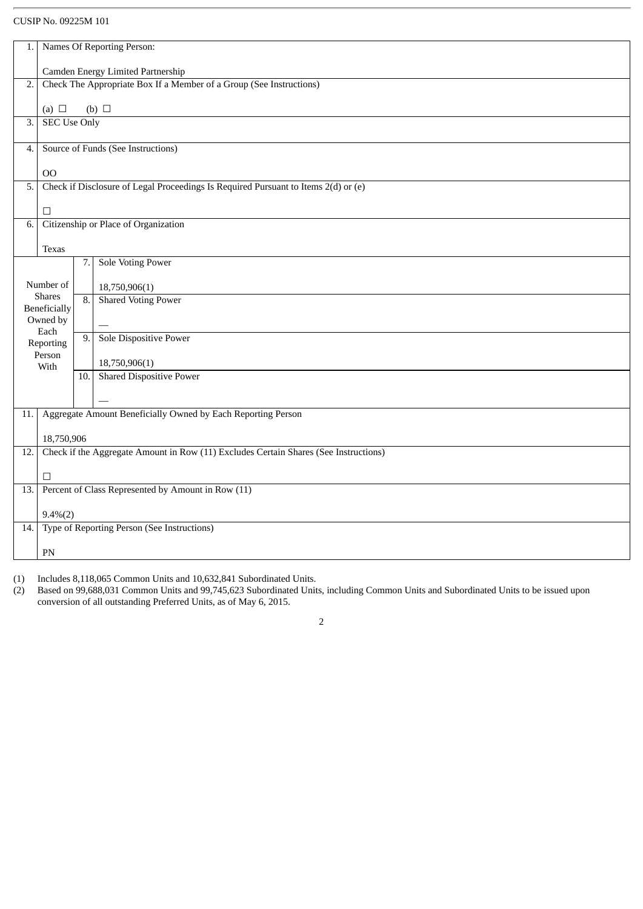## CUSIP No. 09225M 101

| 1.                              | Names Of Reporting Person:                                                           |                  |                                                                                    |  |  |  |  |
|---------------------------------|--------------------------------------------------------------------------------------|------------------|------------------------------------------------------------------------------------|--|--|--|--|
|                                 |                                                                                      |                  |                                                                                    |  |  |  |  |
|                                 | Camden Energy Limited Partnership                                                    |                  |                                                                                    |  |  |  |  |
| 2.                              | Check The Appropriate Box If a Member of a Group (See Instructions)                  |                  |                                                                                    |  |  |  |  |
|                                 | (a) $\Box$                                                                           |                  | $(b)$ $\square$                                                                    |  |  |  |  |
| 3.                              | <b>SEC Use Only</b>                                                                  |                  |                                                                                    |  |  |  |  |
|                                 |                                                                                      |                  |                                                                                    |  |  |  |  |
| 4.                              |                                                                                      |                  | Source of Funds (See Instructions)                                                 |  |  |  |  |
|                                 |                                                                                      |                  |                                                                                    |  |  |  |  |
| 5.                              | 00                                                                                   |                  | Check if Disclosure of Legal Proceedings Is Required Pursuant to Items 2(d) or (e) |  |  |  |  |
|                                 |                                                                                      |                  |                                                                                    |  |  |  |  |
|                                 | $\Box$                                                                               |                  |                                                                                    |  |  |  |  |
| 6.                              |                                                                                      |                  | Citizenship or Place of Organization                                               |  |  |  |  |
|                                 |                                                                                      |                  |                                                                                    |  |  |  |  |
|                                 | Texas                                                                                | 7.1              | <b>Sole Voting Power</b>                                                           |  |  |  |  |
|                                 |                                                                                      |                  |                                                                                    |  |  |  |  |
|                                 | Number of                                                                            |                  | 18,750,906(1)                                                                      |  |  |  |  |
|                                 | <b>Shares</b>                                                                        | $\overline{8}$ . | <b>Shared Voting Power</b>                                                         |  |  |  |  |
| <b>Beneficially</b><br>Owned by |                                                                                      |                  |                                                                                    |  |  |  |  |
|                                 | Each                                                                                 | 9.               | Sole Dispositive Power                                                             |  |  |  |  |
|                                 | Reporting                                                                            |                  |                                                                                    |  |  |  |  |
|                                 | Person<br>With                                                                       |                  | 18,750,906(1)                                                                      |  |  |  |  |
|                                 |                                                                                      |                  | 10. Shared Dispositive Power                                                       |  |  |  |  |
|                                 |                                                                                      |                  |                                                                                    |  |  |  |  |
| 11.                             |                                                                                      |                  |                                                                                    |  |  |  |  |
|                                 | Aggregate Amount Beneficially Owned by Each Reporting Person                         |                  |                                                                                    |  |  |  |  |
|                                 | 18,750,906                                                                           |                  |                                                                                    |  |  |  |  |
| 12.                             | Check if the Aggregate Amount in Row (11) Excludes Certain Shares (See Instructions) |                  |                                                                                    |  |  |  |  |
|                                 |                                                                                      |                  |                                                                                    |  |  |  |  |
|                                 | $\Box$                                                                               |                  | Percent of Class Represented by Amount in Row (11)                                 |  |  |  |  |
| 13.                             |                                                                                      |                  |                                                                                    |  |  |  |  |
|                                 | $9.4\%(2)$                                                                           |                  |                                                                                    |  |  |  |  |
| 14.                             |                                                                                      |                  | Type of Reporting Person (See Instructions)                                        |  |  |  |  |
|                                 |                                                                                      |                  |                                                                                    |  |  |  |  |
|                                 | $\mathbf{PN}$                                                                        |                  |                                                                                    |  |  |  |  |

(1) Includes 8,118,065 Common Units and 10,632,841 Subordinated Units.

(2) Based on 99,688,031 Common Units and 99,745,623 Subordinated Units, including Common Units and Subordinated Units to be issued upon conversion of all outstanding Preferred Units, as of May 6, 2015.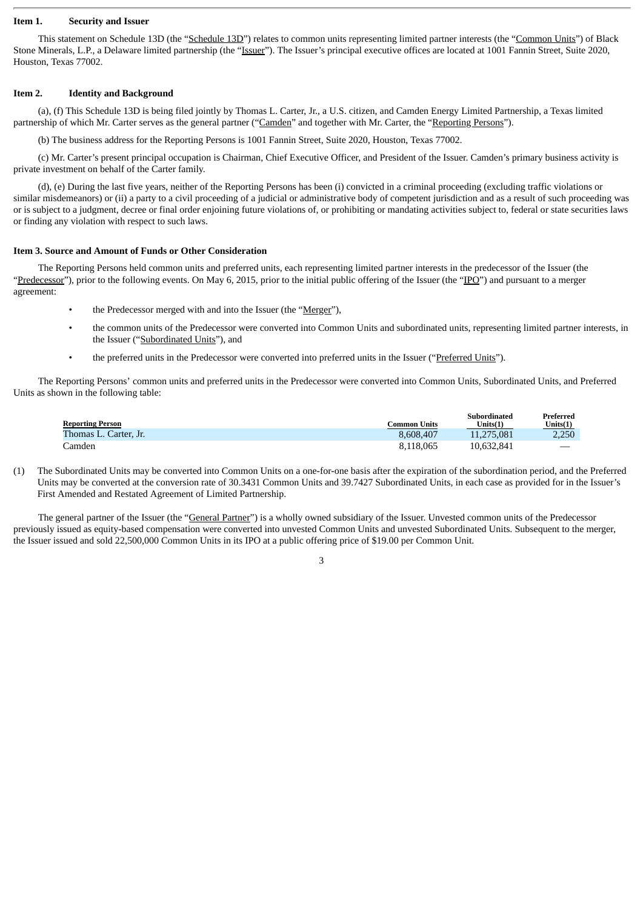#### **Item 1. Security and Issuer**

This statement on Schedule 13D (the "Schedule 13D") relates to common units representing limited partner interests (the "Common Units") of Black Stone Minerals, L.P., a Delaware limited partnership (the "Issuer"). The Issuer's principal executive offices are located at 1001 Fannin Street, Suite 2020, Houston, Texas 77002.

#### **Item 2. Identity and Background**

(a), (f) This Schedule 13D is being filed jointly by Thomas L. Carter, Jr., a U.S. citizen, and Camden Energy Limited Partnership, a Texas limited partnership of which Mr. Carter serves as the general partner ("Camden" and together with Mr. Carter, the "Reporting Persons").

(b) The business address for the Reporting Persons is 1001 Fannin Street, Suite 2020, Houston, Texas 77002.

(c) Mr. Carter's present principal occupation is Chairman, Chief Executive Officer, and President of the Issuer. Camden's primary business activity is private investment on behalf of the Carter family.

(d), (e) During the last five years, neither of the Reporting Persons has been (i) convicted in a criminal proceeding (excluding traffic violations or similar misdemeanors) or (ii) a party to a civil proceeding of a judicial or administrative body of competent jurisdiction and as a result of such proceeding was or is subject to a judgment, decree or final order enjoining future violations of, or prohibiting or mandating activities subject to, federal or state securities laws or finding any violation with respect to such laws.

#### **Item 3. Source and Amount of Funds or Other Consideration**

The Reporting Persons held common units and preferred units, each representing limited partner interests in the predecessor of the Issuer (the "Predecessor"), prior to the following events. On May 6, 2015, prior to the initial public offering of the Issuer (the "IPO") and pursuant to a merger agreement:

- the Predecessor merged with and into the Issuer (the "Merger"),
- the common units of the Predecessor were converted into Common Units and subordinated units, representing limited partner interests, in the Issuer ("Subordinated Units"), and
- the preferred units in the Predecessor were converted into preferred units in the Issuer ("Preferred Units").

The Reporting Persons' common units and preferred units in the Predecessor were converted into Common Units, Subordinated Units, and Preferred Units as shown in the following table:

|                         |              | <b>Subordinated</b> | Preferred   |
|-------------------------|--------------|---------------------|-------------|
| <b>Reporting Person</b> | Common Units | Units(1)            | Units $(1)$ |
| Thomas L. Carter, Jr.   | 8.608.407    | 11.275.081          | 2.250       |
| Camden                  | 8.118.065    | 10,632,841          |             |

(1) The Subordinated Units may be converted into Common Units on a one-for-one basis after the expiration of the subordination period, and the Preferred Units may be converted at the conversion rate of 30.3431 Common Units and 39.7427 Subordinated Units, in each case as provided for in the Issuer's First Amended and Restated Agreement of Limited Partnership.

The general partner of the Issuer (the "General Partner") is a wholly owned subsidiary of the Issuer. Unvested common units of the Predecessor previously issued as equity-based compensation were converted into unvested Common Units and unvested Subordinated Units. Subsequent to the merger, the Issuer issued and sold 22,500,000 Common Units in its IPO at a public offering price of \$19.00 per Common Unit.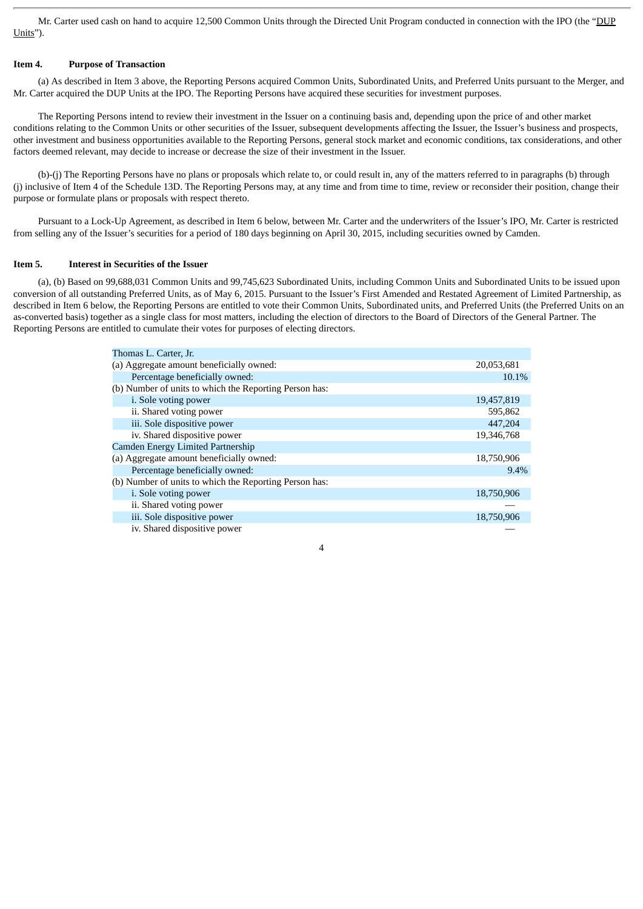Mr. Carter used cash on hand to acquire 12,500 Common Units through the Directed Unit Program conducted in connection with the IPO (the "DUP Units").

## **Item 4. Purpose of Transaction**

(a) As described in Item 3 above, the Reporting Persons acquired Common Units, Subordinated Units, and Preferred Units pursuant to the Merger, and Mr. Carter acquired the DUP Units at the IPO. The Reporting Persons have acquired these securities for investment purposes.

The Reporting Persons intend to review their investment in the Issuer on a continuing basis and, depending upon the price of and other market conditions relating to the Common Units or other securities of the Issuer, subsequent developments affecting the Issuer, the Issuer's business and prospects, other investment and business opportunities available to the Reporting Persons, general stock market and economic conditions, tax considerations, and other factors deemed relevant, may decide to increase or decrease the size of their investment in the Issuer.

(b)-(j) The Reporting Persons have no plans or proposals which relate to, or could result in, any of the matters referred to in paragraphs (b) through (j) inclusive of Item 4 of the Schedule 13D. The Reporting Persons may, at any time and from time to time, review or reconsider their position, change their purpose or formulate plans or proposals with respect thereto.

Pursuant to a Lock-Up Agreement, as described in Item 6 below, between Mr. Carter and the underwriters of the Issuer's IPO, Mr. Carter is restricted from selling any of the Issuer's securities for a period of 180 days beginning on April 30, 2015, including securities owned by Camden.

#### **Item 5. Interest in Securities of the Issuer**

(a), (b) Based on 99,688,031 Common Units and 99,745,623 Subordinated Units, including Common Units and Subordinated Units to be issued upon conversion of all outstanding Preferred Units, as of May 6, 2015. Pursuant to the Issuer's First Amended and Restated Agreement of Limited Partnership, as described in Item 6 below, the Reporting Persons are entitled to vote their Common Units, Subordinated units, and Preferred Units (the Preferred Units on an as-converted basis) together as a single class for most matters, including the election of directors to the Board of Directors of the General Partner. The Reporting Persons are entitled to cumulate their votes for purposes of electing directors.

| Thomas L. Carter, Jr.                                  |            |
|--------------------------------------------------------|------------|
| (a) Aggregate amount beneficially owned:               | 20,053,681 |
| Percentage beneficially owned:                         | 10.1%      |
| (b) Number of units to which the Reporting Person has: |            |
| i. Sole voting power                                   | 19,457,819 |
| ii. Shared voting power                                | 595,862    |
| iii. Sole dispositive power                            | 447,204    |
| iv. Shared dispositive power                           | 19,346,768 |
| <b>Camden Energy Limited Partnership</b>               |            |
| (a) Aggregate amount beneficially owned:               | 18,750,906 |
| Percentage beneficially owned:                         | 9.4%       |
| (b) Number of units to which the Reporting Person has: |            |
| i. Sole voting power                                   | 18,750,906 |
| ii. Shared voting power                                |            |
| iii. Sole dispositive power                            | 18,750,906 |
| iv. Shared dispositive power                           |            |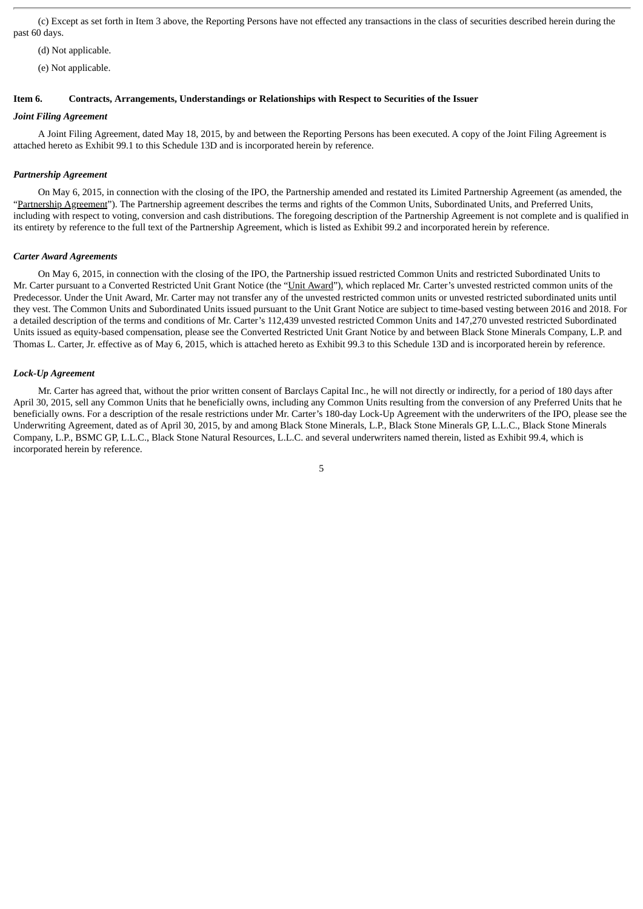(c) Except as set forth in Item 3 above, the Reporting Persons have not effected any transactions in the class of securities described herein during the past 60 days.

(d) Not applicable.

(e) Not applicable.

## **Item 6. Contracts, Arrangements, Understandings or Relationships with Respect to Securities of the Issuer**

#### *Joint Filing Agreement*

A Joint Filing Agreement, dated May 18, 2015, by and between the Reporting Persons has been executed. A copy of the Joint Filing Agreement is attached hereto as Exhibit 99.1 to this Schedule 13D and is incorporated herein by reference.

#### *Partnership Agreement*

On May 6, 2015, in connection with the closing of the IPO, the Partnership amended and restated its Limited Partnership Agreement (as amended, the "Partnership Agreement"). The Partnership agreement describes the terms and rights of the Common Units, Subordinated Units, and Preferred Units, including with respect to voting, conversion and cash distributions. The foregoing description of the Partnership Agreement is not complete and is qualified in its entirety by reference to the full text of the Partnership Agreement, which is listed as Exhibit 99.2 and incorporated herein by reference.

#### *Carter Award Agreements*

On May 6, 2015, in connection with the closing of the IPO, the Partnership issued restricted Common Units and restricted Subordinated Units to Mr. Carter pursuant to a Converted Restricted Unit Grant Notice (the "Unit Award"), which replaced Mr. Carter's unvested restricted common units of the Predecessor. Under the Unit Award, Mr. Carter may not transfer any of the unvested restricted common units or unvested restricted subordinated units until they vest. The Common Units and Subordinated Units issued pursuant to the Unit Grant Notice are subject to time-based vesting between 2016 and 2018. For a detailed description of the terms and conditions of Mr. Carter's 112,439 unvested restricted Common Units and 147,270 unvested restricted Subordinated Units issued as equity-based compensation, please see the Converted Restricted Unit Grant Notice by and between Black Stone Minerals Company, L.P. and Thomas L. Carter, Jr. effective as of May 6, 2015, which is attached hereto as Exhibit 99.3 to this Schedule 13D and is incorporated herein by reference.

#### *Lock-Up Agreement*

Mr. Carter has agreed that, without the prior written consent of Barclays Capital Inc., he will not directly or indirectly, for a period of 180 days after April 30, 2015, sell any Common Units that he beneficially owns, including any Common Units resulting from the conversion of any Preferred Units that he beneficially owns. For a description of the resale restrictions under Mr. Carter's 180-day Lock-Up Agreement with the underwriters of the IPO, please see the Underwriting Agreement, dated as of April 30, 2015, by and among Black Stone Minerals, L.P., Black Stone Minerals GP, L.L.C., Black Stone Minerals Company, L.P., BSMC GP, L.L.C., Black Stone Natural Resources, L.L.C. and several underwriters named therein, listed as Exhibit 99.4, which is incorporated herein by reference.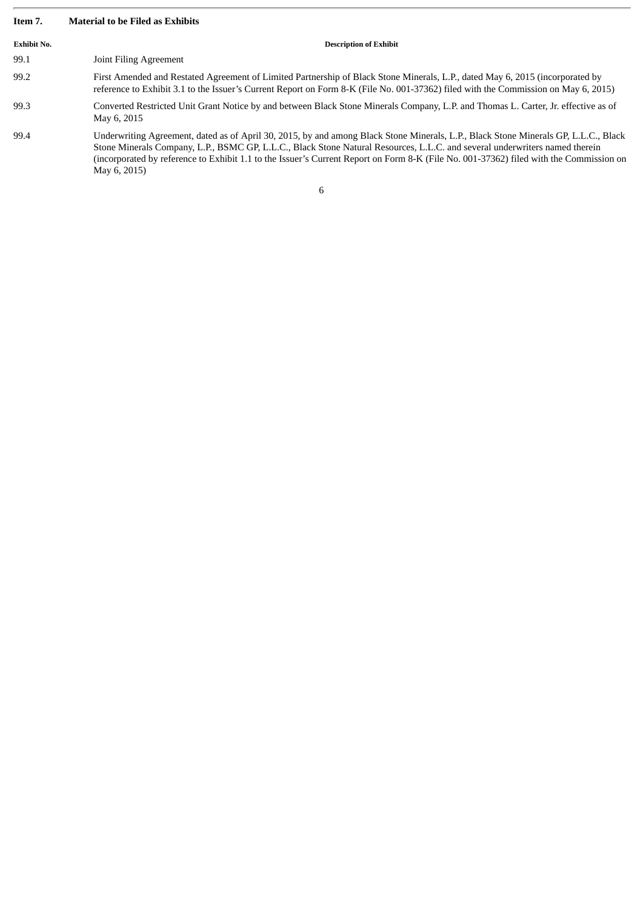## **Item 7. Material to be Filed as Exhibits**

| <b>Exhibit No.</b> | <b>Description of Exhibit</b>                                                                                                                                                                                                                                                                                                                                                                                                |
|--------------------|------------------------------------------------------------------------------------------------------------------------------------------------------------------------------------------------------------------------------------------------------------------------------------------------------------------------------------------------------------------------------------------------------------------------------|
| 99.1               | Joint Filing Agreement                                                                                                                                                                                                                                                                                                                                                                                                       |
| 99.2               | First Amended and Restated Agreement of Limited Partnership of Black Stone Minerals, L.P., dated May 6, 2015 (incorporated by<br>reference to Exhibit 3.1 to the Issuer's Current Report on Form 8-K (File No. 001-37362) filed with the Commission on May 6, 2015)                                                                                                                                                          |
| 99.3               | Converted Restricted Unit Grant Notice by and between Black Stone Minerals Company, L.P. and Thomas L. Carter, Jr. effective as of<br>May 6, 2015                                                                                                                                                                                                                                                                            |
| 99.4               | Underwriting Agreement, dated as of April 30, 2015, by and among Black Stone Minerals, L.P., Black Stone Minerals GP, L.L.C., Black<br>Stone Minerals Company, L.P., BSMC GP, L.L.C., Black Stone Natural Resources, L.L.C. and several underwriters named therein<br>(incorporated by reference to Exhibit 1.1 to the Issuer's Current Report on Form 8-K (File No. 001-37362) filed with the Commission on<br>May 6, 2015) |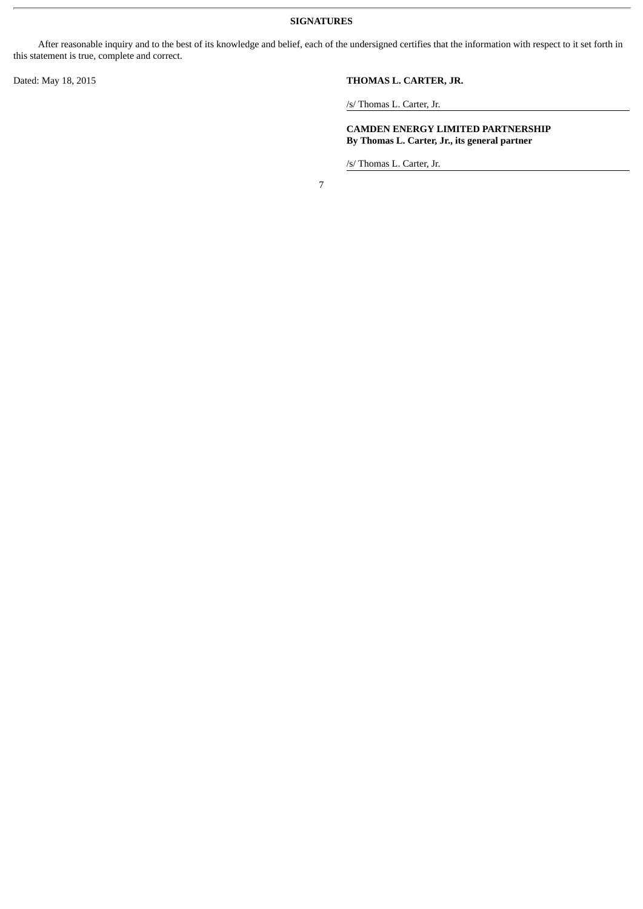**SIGNATURES**

After reasonable inquiry and to the best of its knowledge and belief, each of the undersigned certifies that the information with respect to it set forth in this statement is true, complete and correct.

## Dated: May 18, 2015 **THOMAS L. CARTER, JR.**

/s/ Thomas L. Carter, Jr.

**CAMDEN ENERGY LIMITED PARTNERSHIP By Thomas L. Carter, Jr., its general partner**

/s/ Thomas L. Carter, Jr.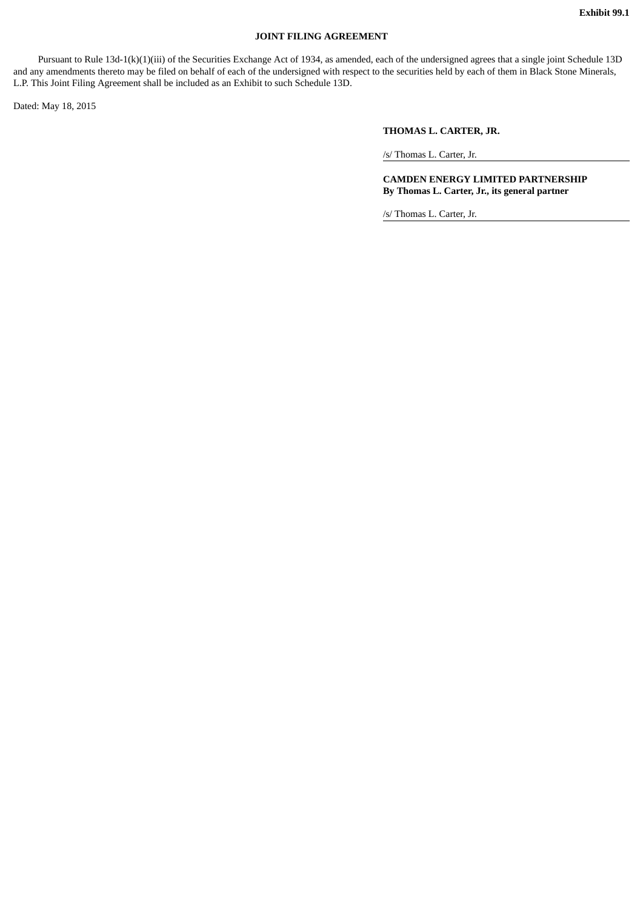## **JOINT FILING AGREEMENT**

Pursuant to Rule 13d-1(k)(1)(iii) of the Securities Exchange Act of 1934, as amended, each of the undersigned agrees that a single joint Schedule 13D and any amendments thereto may be filed on behalf of each of the undersigned with respect to the securities held by each of them in Black Stone Minerals, L.P. This Joint Filing Agreement shall be included as an Exhibit to such Schedule 13D.

Dated: May 18, 2015

## **THOMAS L. CARTER, JR.**

/s/ Thomas L. Carter, Jr.

**CAMDEN ENERGY LIMITED PARTNERSHIP By Thomas L. Carter, Jr., its general partner**

/s/ Thomas L. Carter, Jr.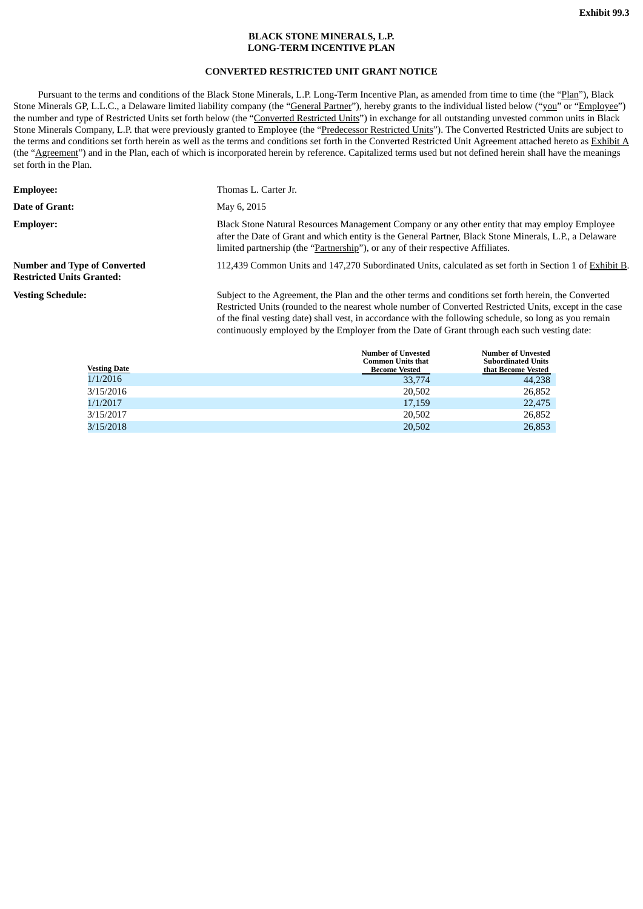## **BLACK STONE MINERALS, L.P. LONG-TERM INCENTIVE PLAN**

## **CONVERTED RESTRICTED UNIT GRANT NOTICE**

Pursuant to the terms and conditions of the Black Stone Minerals, L.P. Long-Term Incentive Plan, as amended from time to time (the "Plan"), Black Stone Minerals GP, L.L.C., a Delaware limited liability company (the "General Partner"), hereby grants to the individual listed below ("you" or "Employee") the number and type of Restricted Units set forth below (the "Converted Restricted Units") in exchange for all outstanding unvested common units in Black Stone Minerals Company, L.P. that were previously granted to Employee (the "Predecessor Restricted Units"). The Converted Restricted Units are subject to the terms and conditions set forth herein as well as the terms and conditions set forth in the Converted Restricted Unit Agreement attached hereto as Exhibit A (the "Agreement") and in the Plan, each of which is incorporated herein by reference. Capitalized terms used but not defined herein shall have the meanings set forth in the Plan.

| <b>Employee:</b>                                                        | Thomas L. Carter Jr.                                                                                                                                                                                                                                                                                                                                                                                                        |
|-------------------------------------------------------------------------|-----------------------------------------------------------------------------------------------------------------------------------------------------------------------------------------------------------------------------------------------------------------------------------------------------------------------------------------------------------------------------------------------------------------------------|
| Date of Grant:                                                          | May 6, 2015                                                                                                                                                                                                                                                                                                                                                                                                                 |
| <b>Employer:</b>                                                        | Black Stone Natural Resources Management Company or any other entity that may employ Employee<br>after the Date of Grant and which entity is the General Partner, Black Stone Minerals, L.P., a Delaware<br>limited partnership (the "Partnership"), or any of their respective Affiliates.                                                                                                                                 |
| <b>Number and Type of Converted</b><br><b>Restricted Units Granted:</b> | 112,439 Common Units and 147,270 Subordinated Units, calculated as set forth in Section 1 of Exhibit B.                                                                                                                                                                                                                                                                                                                     |
| <b>Vesting Schedule:</b>                                                | Subject to the Agreement, the Plan and the other terms and conditions set forth herein, the Converted<br>Restricted Units (rounded to the nearest whole number of Converted Restricted Units, except in the case<br>of the final vesting date) shall vest, in accordance with the following schedule, so long as you remain<br>continuously employed by the Employer from the Date of Grant through each such vesting date: |
|                                                                         | <b>Number of Unvested</b><br><b>Number of Unvested</b>                                                                                                                                                                                                                                                                                                                                                                      |

| <b>Vesting Date</b> | Number of Unvested<br><b>Common Units that</b><br><b>Become Vested</b> | Number of Unvested<br><b>Subordinated Units</b><br>that Become Vested |
|---------------------|------------------------------------------------------------------------|-----------------------------------------------------------------------|
| 1/1/2016            | 33,774                                                                 | 44.238                                                                |
| 3/15/2016           | 20,502                                                                 | 26,852                                                                |
| 1/1/2017            | 17,159                                                                 | 22,475                                                                |
| 3/15/2017           | 20,502                                                                 | 26,852                                                                |
| 3/15/2018           | 20,502                                                                 | 26,853                                                                |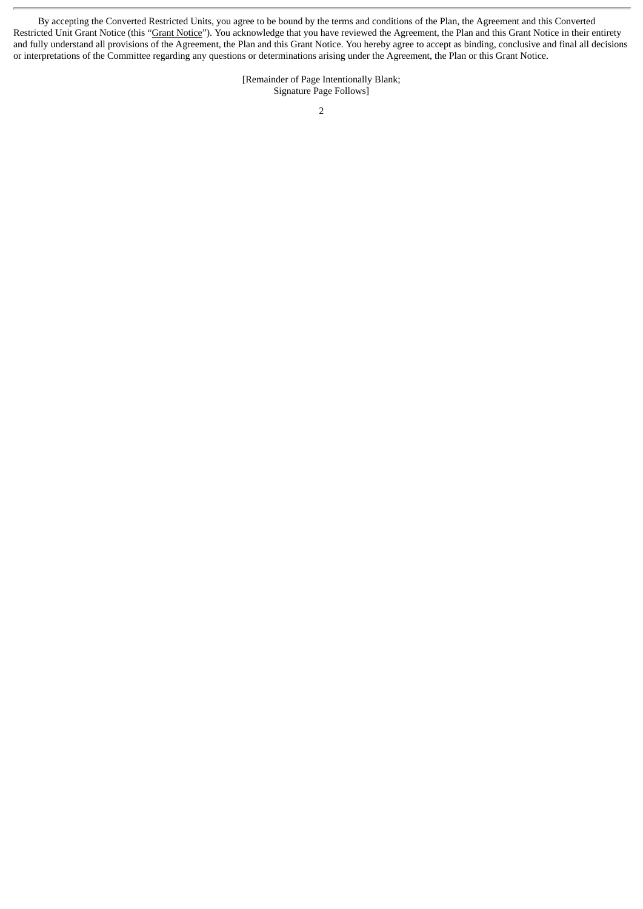By accepting the Converted Restricted Units, you agree to be bound by the terms and conditions of the Plan, the Agreement and this Converted Restricted Unit Grant Notice (this "Grant Notice"). You acknowledge that you have reviewed the Agreement, the Plan and this Grant Notice in their entirety and fully understand all provisions of the Agreement, the Plan and this Grant Notice. You hereby agree to accept as binding, conclusive and final all decisions or interpretations of the Committee regarding any questions or determinations arising under the Agreement, the Plan or this Grant Notice.

> [Remainder of Page Intentionally Blank; Signature Page Follows]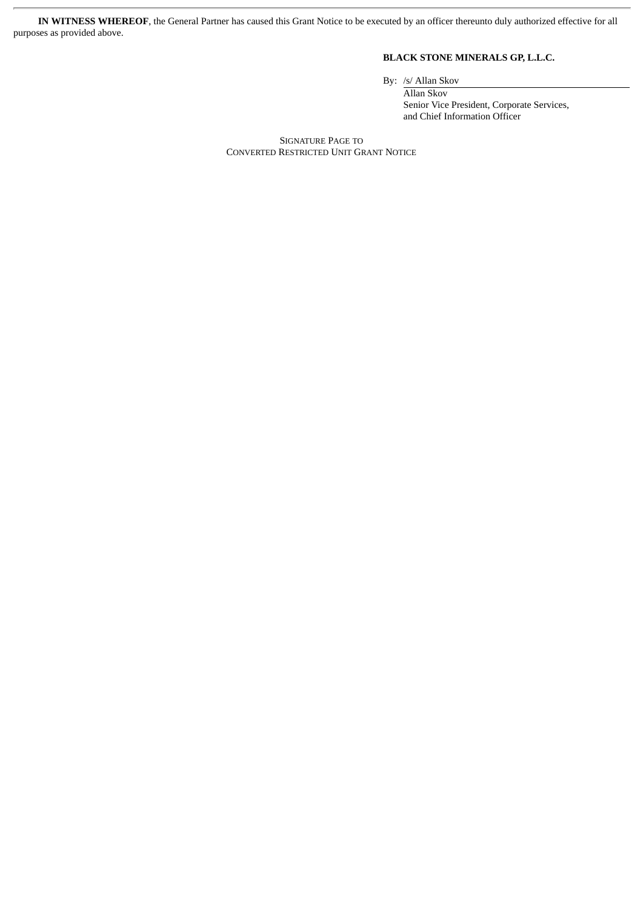**IN WITNESS WHEREOF**, the General Partner has caused this Grant Notice to be executed by an officer thereunto duly authorized effective for all purposes as provided above.

## **BLACK STONE MINERALS GP, L.L.C.**

By: /s/ Allan Skov

Allan Skov Senior Vice President, Corporate Services, and Chief Information Officer

SIGNATURE PAGE TO CONVERTED RESTRICTED UNIT GRANT NOTICE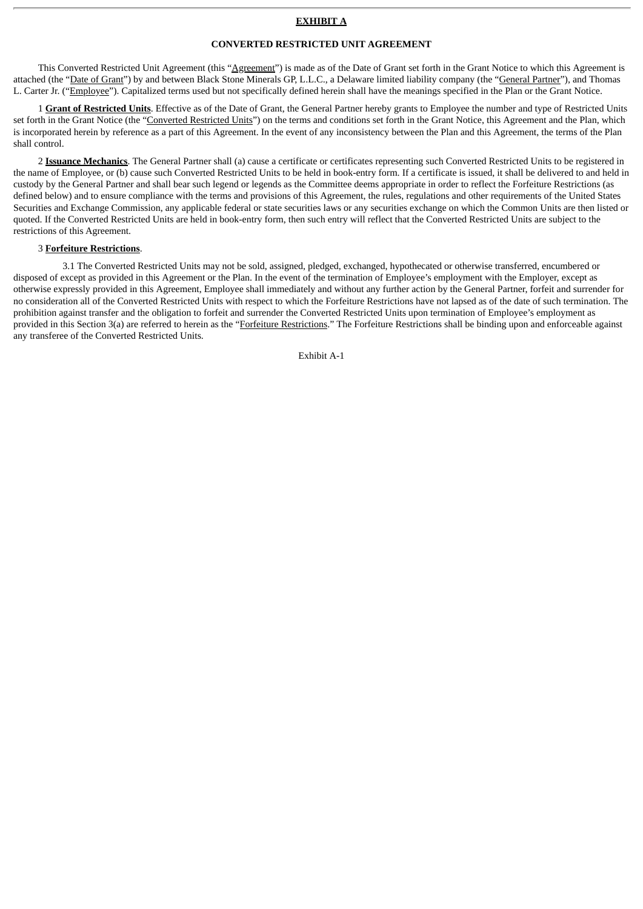## **EXHIBIT A**

#### **CONVERTED RESTRICTED UNIT AGREEMENT**

This Converted Restricted Unit Agreement (this "Agreement") is made as of the Date of Grant set forth in the Grant Notice to which this Agreement is attached (the "Date of Grant") by and between Black Stone Minerals GP, L.L.C., a Delaware limited liability company (the "General Partner"), and Thomas L. Carter Jr. ("Employee"). Capitalized terms used but not specifically defined herein shall have the meanings specified in the Plan or the Grant Notice.

1 **Grant of Restricted Units**. Effective as of the Date of Grant, the General Partner hereby grants to Employee the number and type of Restricted Units set forth in the Grant Notice (the "Converted Restricted Units") on the terms and conditions set forth in the Grant Notice, this Agreement and the Plan, which is incorporated herein by reference as a part of this Agreement. In the event of any inconsistency between the Plan and this Agreement, the terms of the Plan shall control.

2 **Issuance Mechanics**. The General Partner shall (a) cause a certificate or certificates representing such Converted Restricted Units to be registered in the name of Employee, or (b) cause such Converted Restricted Units to be held in book-entry form. If a certificate is issued, it shall be delivered to and held in custody by the General Partner and shall bear such legend or legends as the Committee deems appropriate in order to reflect the Forfeiture Restrictions (as defined below) and to ensure compliance with the terms and provisions of this Agreement, the rules, regulations and other requirements of the United States Securities and Exchange Commission, any applicable federal or state securities laws or any securities exchange on which the Common Units are then listed or quoted. If the Converted Restricted Units are held in book-entry form, then such entry will reflect that the Converted Restricted Units are subject to the restrictions of this Agreement.

### 3 **Forfeiture Restrictions**.

3.1 The Converted Restricted Units may not be sold, assigned, pledged, exchanged, hypothecated or otherwise transferred, encumbered or disposed of except as provided in this Agreement or the Plan. In the event of the termination of Employee's employment with the Employer, except as otherwise expressly provided in this Agreement, Employee shall immediately and without any further action by the General Partner, forfeit and surrender for no consideration all of the Converted Restricted Units with respect to which the Forfeiture Restrictions have not lapsed as of the date of such termination. The prohibition against transfer and the obligation to forfeit and surrender the Converted Restricted Units upon termination of Employee's employment as provided in this Section 3(a) are referred to herein as the "Forfeiture Restrictions." The Forfeiture Restrictions shall be binding upon and enforceable against any transferee of the Converted Restricted Units.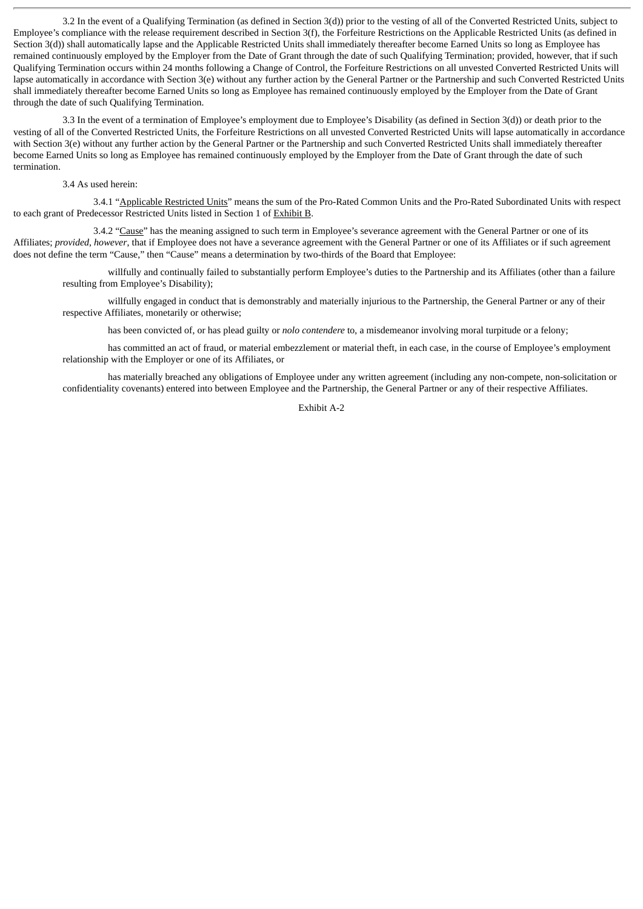3.2 In the event of a Qualifying Termination (as defined in Section 3(d)) prior to the vesting of all of the Converted Restricted Units, subject to Employee's compliance with the release requirement described in Section 3(f), the Forfeiture Restrictions on the Applicable Restricted Units (as defined in Section 3(d)) shall automatically lapse and the Applicable Restricted Units shall immediately thereafter become Earned Units so long as Employee has remained continuously employed by the Employer from the Date of Grant through the date of such Qualifying Termination; provided, however, that if such Qualifying Termination occurs within 24 months following a Change of Control, the Forfeiture Restrictions on all unvested Converted Restricted Units will lapse automatically in accordance with Section 3(e) without any further action by the General Partner or the Partnership and such Converted Restricted Units shall immediately thereafter become Earned Units so long as Employee has remained continuously employed by the Employer from the Date of Grant through the date of such Qualifying Termination.

3.3 In the event of a termination of Employee's employment due to Employee's Disability (as defined in Section 3(d)) or death prior to the vesting of all of the Converted Restricted Units, the Forfeiture Restrictions on all unvested Converted Restricted Units will lapse automatically in accordance with Section 3(e) without any further action by the General Partner or the Partnership and such Converted Restricted Units shall immediately thereafter become Earned Units so long as Employee has remained continuously employed by the Employer from the Date of Grant through the date of such termination.

#### 3.4 As used herein:

3.4.1 "Applicable Restricted Units" means the sum of the Pro-Rated Common Units and the Pro-Rated Subordinated Units with respect to each grant of Predecessor Restricted Units listed in Section 1 of Exhibit B.

3.4.2 "Cause" has the meaning assigned to such term in Employee's severance agreement with the General Partner or one of its Affiliates; *provided*, *however*, that if Employee does not have a severance agreement with the General Partner or one of its Affiliates or if such agreement does not define the term "Cause," then "Cause" means a determination by two-thirds of the Board that Employee:

willfully and continually failed to substantially perform Employee's duties to the Partnership and its Affiliates (other than a failure resulting from Employee's Disability);

willfully engaged in conduct that is demonstrably and materially injurious to the Partnership, the General Partner or any of their respective Affiliates, monetarily or otherwise;

has been convicted of, or has plead guilty or *nolo contendere* to, a misdemeanor involving moral turpitude or a felony;

has committed an act of fraud, or material embezzlement or material theft, in each case, in the course of Employee's employment relationship with the Employer or one of its Affiliates, or

has materially breached any obligations of Employee under any written agreement (including any non-compete, non-solicitation or confidentiality covenants) entered into between Employee and the Partnership, the General Partner or any of their respective Affiliates.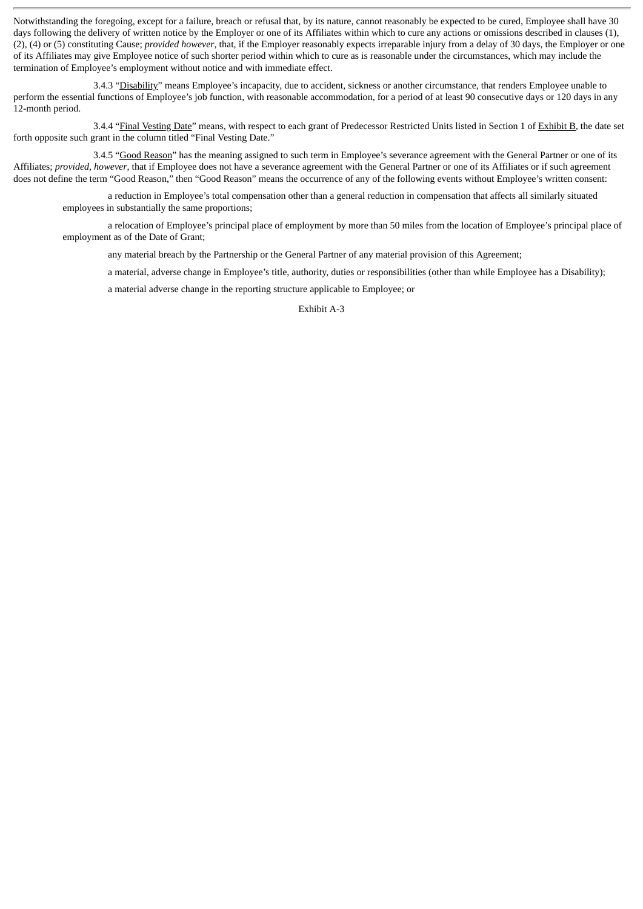Notwithstanding the foregoing, except for a failure, breach or refusal that, by its nature, cannot reasonably be expected to be cured, Employee shall have 30 days following the delivery of written notice by the Employer or one of its Affiliates within which to cure any actions or omissions described in clauses (1), (2), (4) or (5) constituting Cause; *provided however*, that, if the Employer reasonably expects irreparable injury from a delay of 30 days, the Employer or one of its Affiliates may give Employee notice of such shorter period within which to cure as is reasonable under the circumstances, which may include the termination of Employee's employment without notice and with immediate effect.

3.4.3 "Disability" means Employee's incapacity, due to accident, sickness or another circumstance, that renders Employee unable to perform the essential functions of Employee's job function, with reasonable accommodation, for a period of at least 90 consecutive days or 120 days in any 12-month period.

3.4.4 "Final Vesting Date" means, with respect to each grant of Predecessor Restricted Units listed in Section 1 of Exhibit B, the date set forth opposite such grant in the column titled "Final Vesting Date."

3.4.5 "Good Reason" has the meaning assigned to such term in Employee's severance agreement with the General Partner or one of its Affiliates; *provided*, *however*, that if Employee does not have a severance agreement with the General Partner or one of its Affiliates or if such agreement does not define the term "Good Reason," then "Good Reason" means the occurrence of any of the following events without Employee's written consent:

a reduction in Employee's total compensation other than a general reduction in compensation that affects all similarly situated employees in substantially the same proportions;

a relocation of Employee's principal place of employment by more than 50 miles from the location of Employee's principal place of employment as of the Date of Grant;

any material breach by the Partnership or the General Partner of any material provision of this Agreement;

a material, adverse change in Employee's title, authority, duties or responsibilities (other than while Employee has a Disability);

a material adverse change in the reporting structure applicable to Employee; or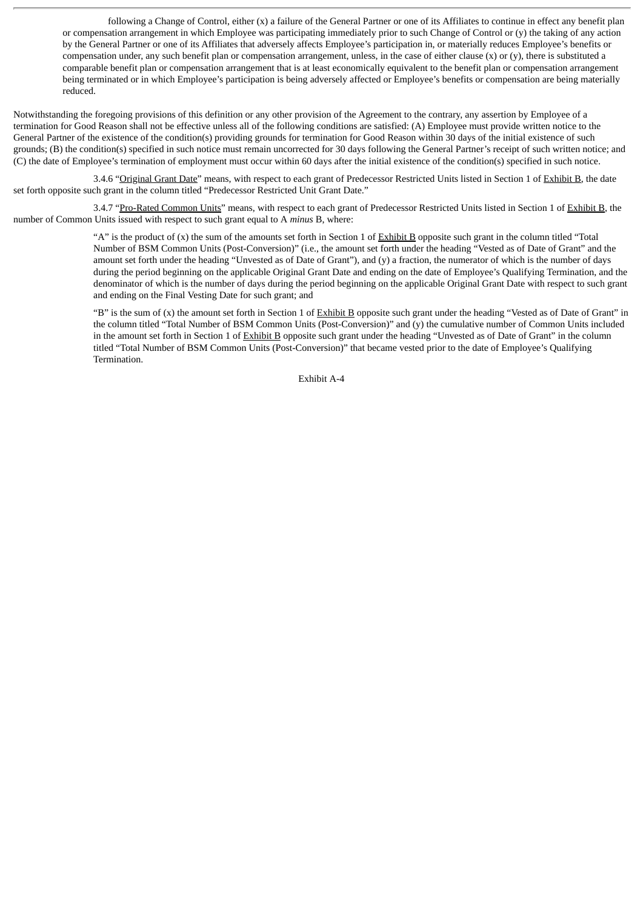following a Change of Control, either (x) a failure of the General Partner or one of its Affiliates to continue in effect any benefit plan or compensation arrangement in which Employee was participating immediately prior to such Change of Control or  $(y)$  the taking of any action by the General Partner or one of its Affiliates that adversely affects Employee's participation in, or materially reduces Employee's benefits or compensation under, any such benefit plan or compensation arrangement, unless, in the case of either clause  $(x)$  or  $(y)$ , there is substituted a comparable benefit plan or compensation arrangement that is at least economically equivalent to the benefit plan or compensation arrangement being terminated or in which Employee's participation is being adversely affected or Employee's benefits or compensation are being materially reduced.

Notwithstanding the foregoing provisions of this definition or any other provision of the Agreement to the contrary, any assertion by Employee of a termination for Good Reason shall not be effective unless all of the following conditions are satisfied: (A) Employee must provide written notice to the General Partner of the existence of the condition(s) providing grounds for termination for Good Reason within 30 days of the initial existence of such grounds; (B) the condition(s) specified in such notice must remain uncorrected for 30 days following the General Partner's receipt of such written notice; and (C) the date of Employee's termination of employment must occur within 60 days after the initial existence of the condition(s) specified in such notice.

3.4.6 "Original Grant Date" means, with respect to each grant of Predecessor Restricted Units listed in Section 1 of Exhibit B, the date set forth opposite such grant in the column titled "Predecessor Restricted Unit Grant Date."

3.4.7 "Pro-Rated Common Units" means, with respect to each grant of Predecessor Restricted Units listed in Section 1 of Exhibit B, the number of Common Units issued with respect to such grant equal to A *minus* B, where:

> "A" is the product of (x) the sum of the amounts set forth in Section 1 of Exhibit B opposite such grant in the column titled "Total Number of BSM Common Units (Post-Conversion)" (i.e., the amount set forth under the heading "Vested as of Date of Grant" and the amount set forth under the heading "Unvested as of Date of Grant"), and (y) a fraction, the numerator of which is the number of days during the period beginning on the applicable Original Grant Date and ending on the date of Employee's Qualifying Termination, and the denominator of which is the number of days during the period beginning on the applicable Original Grant Date with respect to such grant and ending on the Final Vesting Date for such grant; and

> "B" is the sum of (x) the amount set forth in Section 1 of Exhibit B opposite such grant under the heading "Vested as of Date of Grant" in the column titled "Total Number of BSM Common Units (Post-Conversion)" and (y) the cumulative number of Common Units included in the amount set forth in Section 1 of Exhibit B opposite such grant under the heading "Unvested as of Date of Grant" in the column titled "Total Number of BSM Common Units (Post-Conversion)" that became vested prior to the date of Employee's Qualifying Termination.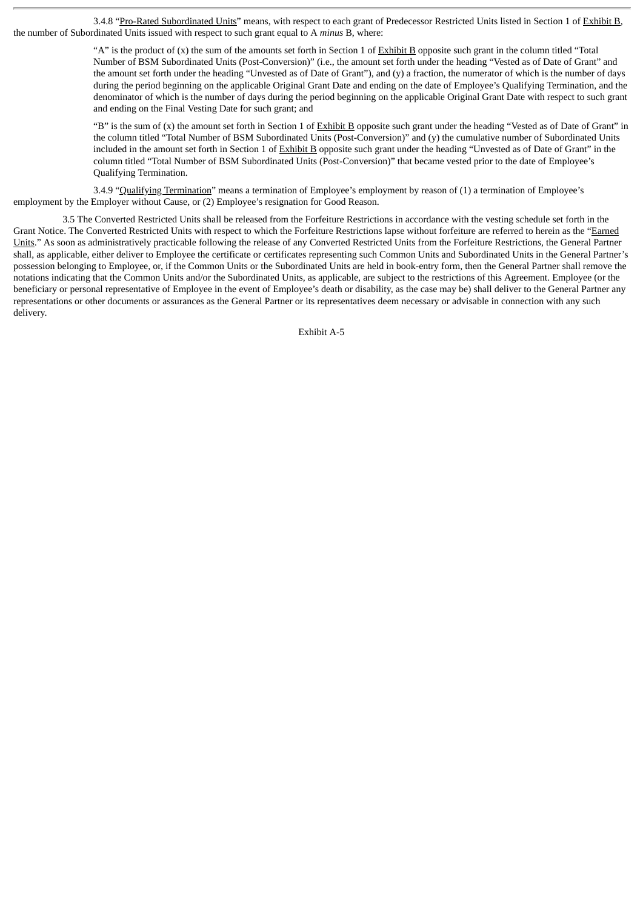3.4.8 "Pro-Rated Subordinated Units" means, with respect to each grant of Predecessor Restricted Units listed in Section 1 of Exhibit B, the number of Subordinated Units issued with respect to such grant equal to A *minus* B, where:

> "A" is the product of  $(x)$  the sum of the amounts set forth in Section 1 of Exhibit B opposite such grant in the column titled "Total" Number of BSM Subordinated Units (Post-Conversion)" (i.e., the amount set forth under the heading "Vested as of Date of Grant" and the amount set forth under the heading "Unvested as of Date of Grant"), and (y) a fraction, the numerator of which is the number of days during the period beginning on the applicable Original Grant Date and ending on the date of Employee's Qualifying Termination, and the denominator of which is the number of days during the period beginning on the applicable Original Grant Date with respect to such grant and ending on the Final Vesting Date for such grant; and

> "B" is the sum of (x) the amount set forth in Section 1 of Exhibit B opposite such grant under the heading "Vested as of Date of Grant" in the column titled "Total Number of BSM Subordinated Units (Post-Conversion)" and (y) the cumulative number of Subordinated Units included in the amount set forth in Section 1 of Exhibit B opposite such grant under the heading "Unvested as of Date of Grant" in the column titled "Total Number of BSM Subordinated Units (Post-Conversion)" that became vested prior to the date of Employee's Qualifying Termination.

3.4.9 "Qualifying Termination" means a termination of Employee's employment by reason of (1) a termination of Employee's employment by the Employer without Cause, or (2) Employee's resignation for Good Reason.

3.5 The Converted Restricted Units shall be released from the Forfeiture Restrictions in accordance with the vesting schedule set forth in the Grant Notice. The Converted Restricted Units with respect to which the Forfeiture Restrictions lapse without forfeiture are referred to herein as the "Earned Units." As soon as administratively practicable following the release of any Converted Restricted Units from the Forfeiture Restrictions, the General Partner shall, as applicable, either deliver to Employee the certificate or certificates representing such Common Units and Subordinated Units in the General Partner's possession belonging to Employee, or, if the Common Units or the Subordinated Units are held in book-entry form, then the General Partner shall remove the notations indicating that the Common Units and/or the Subordinated Units, as applicable, are subject to the restrictions of this Agreement. Employee (or the beneficiary or personal representative of Employee in the event of Employee's death or disability, as the case may be) shall deliver to the General Partner any representations or other documents or assurances as the General Partner or its representatives deem necessary or advisable in connection with any such delivery.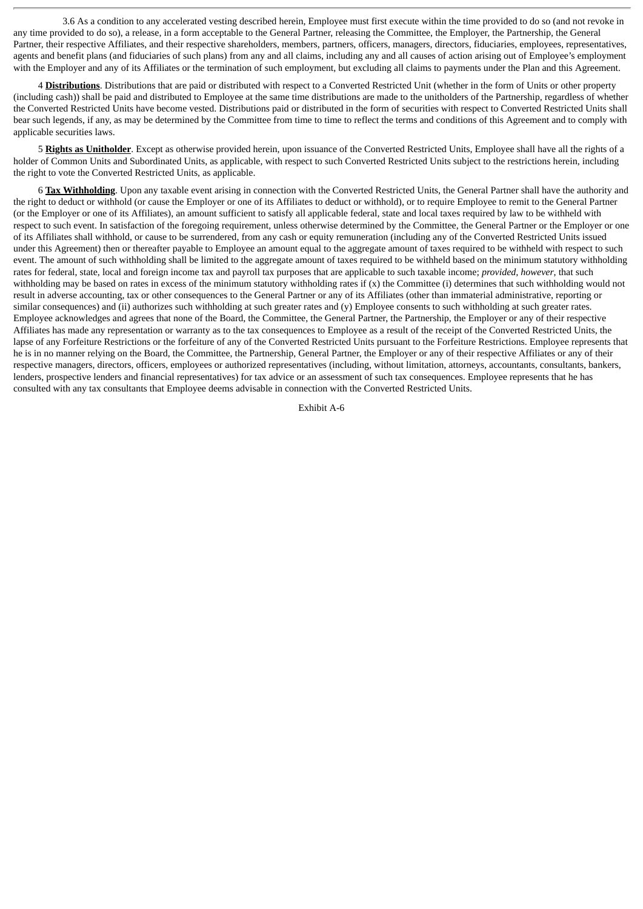3.6 As a condition to any accelerated vesting described herein, Employee must first execute within the time provided to do so (and not revoke in any time provided to do so), a release, in a form acceptable to the General Partner, releasing the Committee, the Employer, the Partnership, the General Partner, their respective Affiliates, and their respective shareholders, members, partners, officers, managers, directors, fiduciaries, employees, representatives, agents and benefit plans (and fiduciaries of such plans) from any and all claims, including any and all causes of action arising out of Employee's employment with the Employer and any of its Affiliates or the termination of such employment, but excluding all claims to payments under the Plan and this Agreement.

4 **Distributions**. Distributions that are paid or distributed with respect to a Converted Restricted Unit (whether in the form of Units or other property (including cash)) shall be paid and distributed to Employee at the same time distributions are made to the unitholders of the Partnership, regardless of whether the Converted Restricted Units have become vested. Distributions paid or distributed in the form of securities with respect to Converted Restricted Units shall bear such legends, if any, as may be determined by the Committee from time to time to reflect the terms and conditions of this Agreement and to comply with applicable securities laws.

5 **Rights as Unitholder**. Except as otherwise provided herein, upon issuance of the Converted Restricted Units, Employee shall have all the rights of a holder of Common Units and Subordinated Units, as applicable, with respect to such Converted Restricted Units subject to the restrictions herein, including the right to vote the Converted Restricted Units, as applicable.

6 **Tax Withholding**. Upon any taxable event arising in connection with the Converted Restricted Units, the General Partner shall have the authority and the right to deduct or withhold (or cause the Employer or one of its Affiliates to deduct or withhold), or to require Employee to remit to the General Partner (or the Employer or one of its Affiliates), an amount sufficient to satisfy all applicable federal, state and local taxes required by law to be withheld with respect to such event. In satisfaction of the foregoing requirement, unless otherwise determined by the Committee, the General Partner or the Employer or one of its Affiliates shall withhold, or cause to be surrendered, from any cash or equity remuneration (including any of the Converted Restricted Units issued under this Agreement) then or thereafter payable to Employee an amount equal to the aggregate amount of taxes required to be withheld with respect to such event. The amount of such withholding shall be limited to the aggregate amount of taxes required to be withheld based on the minimum statutory withholding rates for federal, state, local and foreign income tax and payroll tax purposes that are applicable to such taxable income; *provided, however*, that such withholding may be based on rates in excess of the minimum statutory withholding rates if (x) the Committee (i) determines that such withholding would not result in adverse accounting, tax or other consequences to the General Partner or any of its Affiliates (other than immaterial administrative, reporting or similar consequences) and (ii) authorizes such withholding at such greater rates and (y) Employee consents to such withholding at such greater rates. Employee acknowledges and agrees that none of the Board, the Committee, the General Partner, the Partnership, the Employer or any of their respective Affiliates has made any representation or warranty as to the tax consequences to Employee as a result of the receipt of the Converted Restricted Units, the lapse of any Forfeiture Restrictions or the forfeiture of any of the Converted Restricted Units pursuant to the Forfeiture Restrictions. Employee represents that he is in no manner relying on the Board, the Committee, the Partnership, General Partner, the Employer or any of their respective Affiliates or any of their respective managers, directors, officers, employees or authorized representatives (including, without limitation, attorneys, accountants, consultants, bankers, lenders, prospective lenders and financial representatives) for tax advice or an assessment of such tax consequences. Employee represents that he has consulted with any tax consultants that Employee deems advisable in connection with the Converted Restricted Units.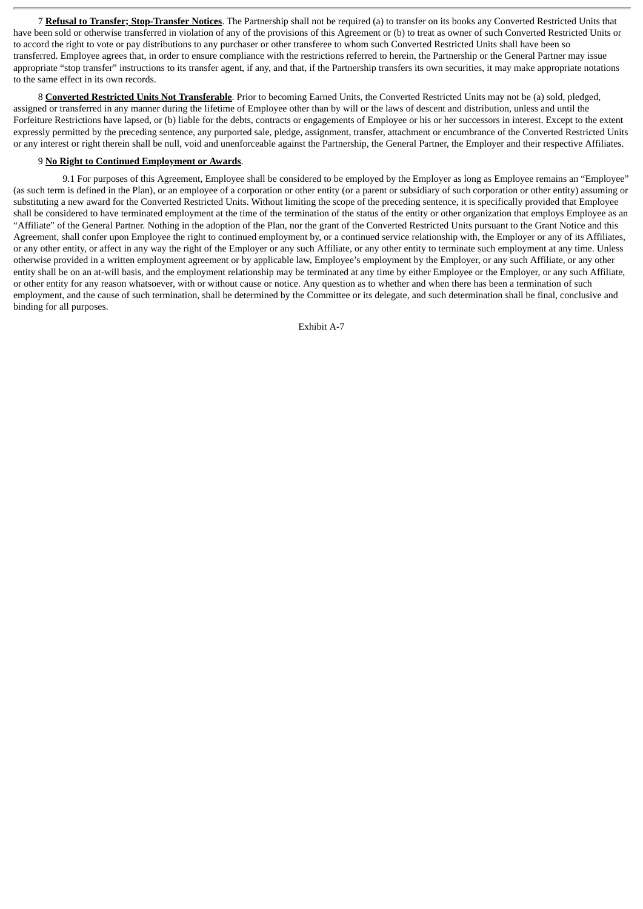7 **Refusal to Transfer; Stop-Transfer Notices**. The Partnership shall not be required (a) to transfer on its books any Converted Restricted Units that have been sold or otherwise transferred in violation of any of the provisions of this Agreement or (b) to treat as owner of such Converted Restricted Units or to accord the right to vote or pay distributions to any purchaser or other transferee to whom such Converted Restricted Units shall have been so transferred. Employee agrees that, in order to ensure compliance with the restrictions referred to herein, the Partnership or the General Partner may issue appropriate "stop transfer" instructions to its transfer agent, if any, and that, if the Partnership transfers its own securities, it may make appropriate notations to the same effect in its own records.

8 **Converted Restricted Units Not Transferable**. Prior to becoming Earned Units, the Converted Restricted Units may not be (a) sold, pledged, assigned or transferred in any manner during the lifetime of Employee other than by will or the laws of descent and distribution, unless and until the Forfeiture Restrictions have lapsed, or (b) liable for the debts, contracts or engagements of Employee or his or her successors in interest. Except to the extent expressly permitted by the preceding sentence, any purported sale, pledge, assignment, transfer, attachment or encumbrance of the Converted Restricted Units or any interest or right therein shall be null, void and unenforceable against the Partnership, the General Partner, the Employer and their respective Affiliates.

## 9 **No Right to Continued Employment or Awards**.

9.1 For purposes of this Agreement, Employee shall be considered to be employed by the Employer as long as Employee remains an "Employee" (as such term is defined in the Plan), or an employee of a corporation or other entity (or a parent or subsidiary of such corporation or other entity) assuming or substituting a new award for the Converted Restricted Units. Without limiting the scope of the preceding sentence, it is specifically provided that Employee shall be considered to have terminated employment at the time of the termination of the status of the entity or other organization that employs Employee as an "Affiliate" of the General Partner. Nothing in the adoption of the Plan, nor the grant of the Converted Restricted Units pursuant to the Grant Notice and this Agreement, shall confer upon Employee the right to continued employment by, or a continued service relationship with, the Employer or any of its Affiliates, or any other entity, or affect in any way the right of the Employer or any such Affiliate, or any other entity to terminate such employment at any time. Unless otherwise provided in a written employment agreement or by applicable law, Employee's employment by the Employer, or any such Affiliate, or any other entity shall be on an at-will basis, and the employment relationship may be terminated at any time by either Employee or the Employer, or any such Affiliate, or other entity for any reason whatsoever, with or without cause or notice. Any question as to whether and when there has been a termination of such employment, and the cause of such termination, shall be determined by the Committee or its delegate, and such determination shall be final, conclusive and binding for all purposes.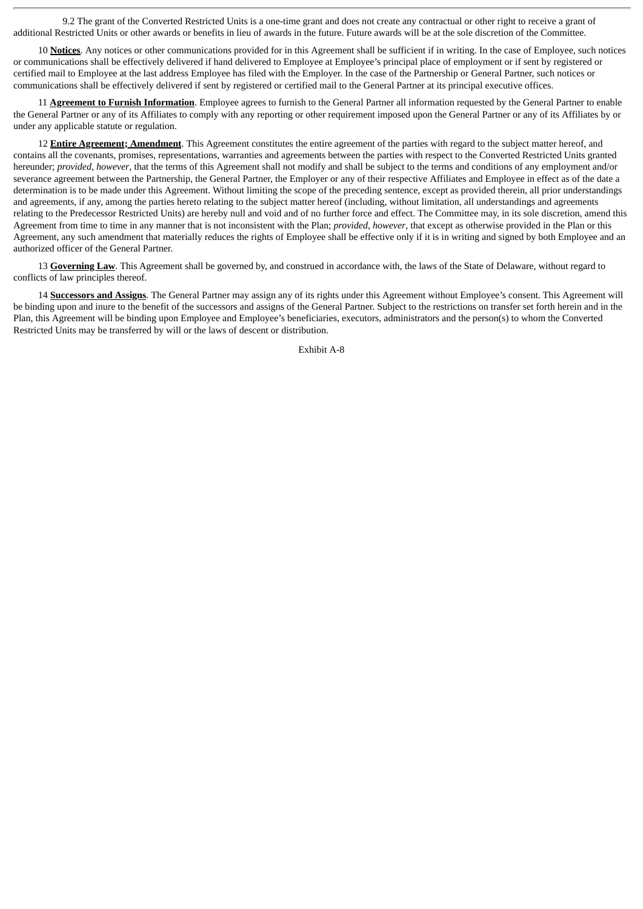9.2 The grant of the Converted Restricted Units is a one-time grant and does not create any contractual or other right to receive a grant of additional Restricted Units or other awards or benefits in lieu of awards in the future. Future awards will be at the sole discretion of the Committee.

10 **Notices**. Any notices or other communications provided for in this Agreement shall be sufficient if in writing. In the case of Employee, such notices or communications shall be effectively delivered if hand delivered to Employee at Employee's principal place of employment or if sent by registered or certified mail to Employee at the last address Employee has filed with the Employer. In the case of the Partnership or General Partner, such notices or communications shall be effectively delivered if sent by registered or certified mail to the General Partner at its principal executive offices.

11 **Agreement to Furnish Information**. Employee agrees to furnish to the General Partner all information requested by the General Partner to enable the General Partner or any of its Affiliates to comply with any reporting or other requirement imposed upon the General Partner or any of its Affiliates by or under any applicable statute or regulation.

12 **Entire Agreement; Amendment**. This Agreement constitutes the entire agreement of the parties with regard to the subject matter hereof, and contains all the covenants, promises, representations, warranties and agreements between the parties with respect to the Converted Restricted Units granted hereunder; *provided, however*, that the terms of this Agreement shall not modify and shall be subject to the terms and conditions of any employment and/or severance agreement between the Partnership, the General Partner, the Employer or any of their respective Affiliates and Employee in effect as of the date a determination is to be made under this Agreement. Without limiting the scope of the preceding sentence, except as provided therein, all prior understandings and agreements, if any, among the parties hereto relating to the subject matter hereof (including, without limitation, all understandings and agreements relating to the Predecessor Restricted Units) are hereby null and void and of no further force and effect. The Committee may, in its sole discretion, amend this Agreement from time to time in any manner that is not inconsistent with the Plan; *provided*, *however*, that except as otherwise provided in the Plan or this Agreement, any such amendment that materially reduces the rights of Employee shall be effective only if it is in writing and signed by both Employee and an authorized officer of the General Partner.

13 **Governing Law**. This Agreement shall be governed by, and construed in accordance with, the laws of the State of Delaware, without regard to conflicts of law principles thereof.

14 **Successors and Assigns**. The General Partner may assign any of its rights under this Agreement without Employee's consent. This Agreement will be binding upon and inure to the benefit of the successors and assigns of the General Partner. Subject to the restrictions on transfer set forth herein and in the Plan, this Agreement will be binding upon Employee and Employee's beneficiaries, executors, administrators and the person(s) to whom the Converted Restricted Units may be transferred by will or the laws of descent or distribution.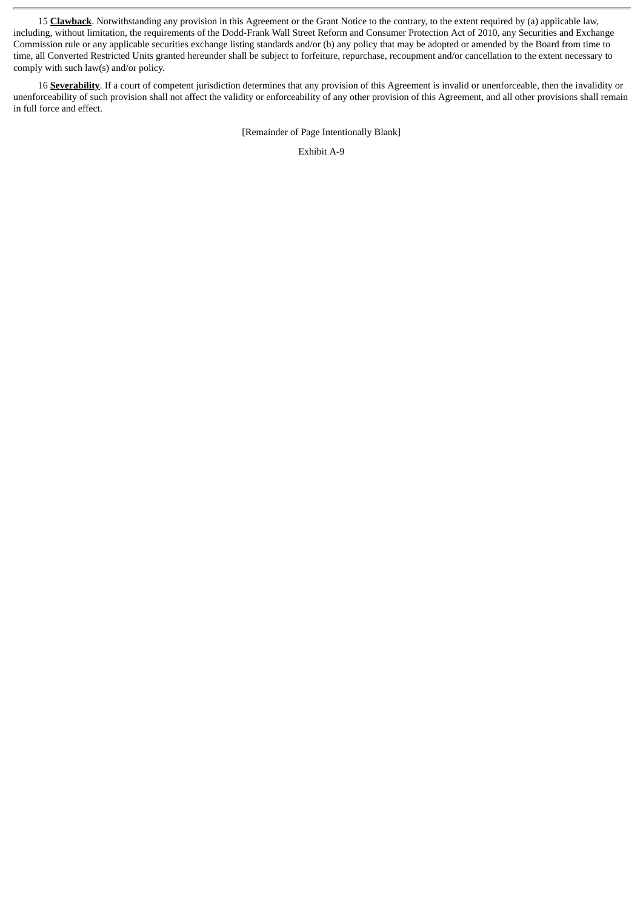15 **Clawback**. Notwithstanding any provision in this Agreement or the Grant Notice to the contrary, to the extent required by (a) applicable law, including, without limitation, the requirements of the Dodd-Frank Wall Street Reform and Consumer Protection Act of 2010, any Securities and Exchange Commission rule or any applicable securities exchange listing standards and/or (b) any policy that may be adopted or amended by the Board from time to time, all Converted Restricted Units granted hereunder shall be subject to forfeiture, repurchase, recoupment and/or cancellation to the extent necessary to comply with such law(s) and/or policy.

16 **Severability**. If a court of competent jurisdiction determines that any provision of this Agreement is invalid or unenforceable, then the invalidity or unenforceability of such provision shall not affect the validity or enforceability of any other provision of this Agreement, and all other provisions shall remain in full force and effect.

[Remainder of Page Intentionally Blank]